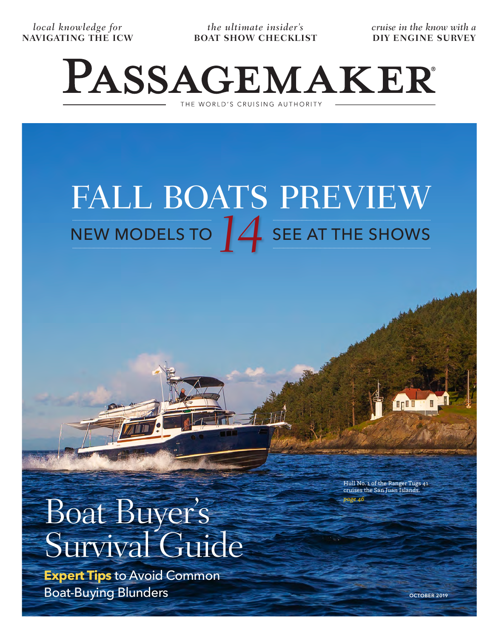*local knowledge for*  **NAVIGATING THE ICW**

*the ultimate insider's*  **BOAT SHOW CHECKLIST** *cruise in the know with a* **DIY ENGINE SURVEY**

## PASSAGEMAKER THE WORLD'S CRUISING AUTHORITY

FALL BOATS PREVIEW NEW MODELS TO  $14$  SEE AT THE SHOWS

Boat Buyer's Survival Guide

**Expert Tips** to Avoid Common Boat-Buying Blunders

Hull No. 1 of the Ranger Tugs 41 cruises the San Juan Islands. *page 46*

**OCTOBER 2019**

Display until October 29, 2019